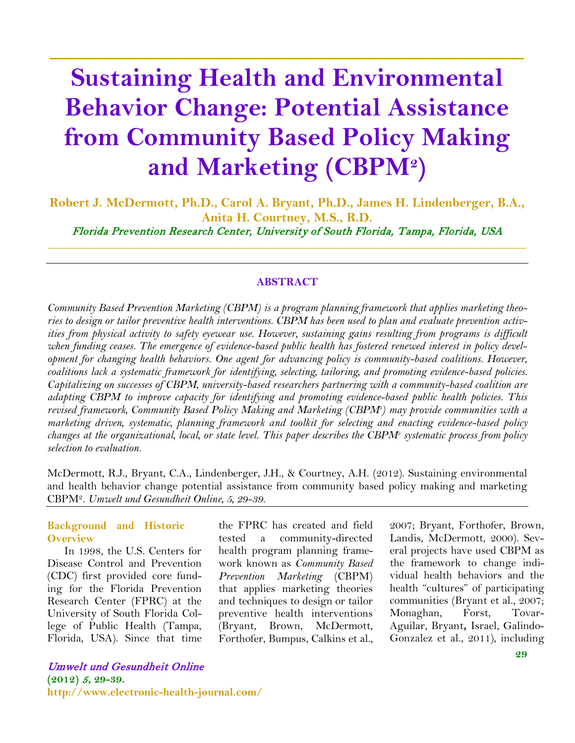# **Sustaining Health and Environmental Behavior Change: Potential Assistance from Community Based Policy Making and Marketing (CBPM2)**

**\_\_\_\_\_\_\_\_\_\_\_\_\_\_\_\_\_\_\_\_\_\_\_\_\_\_\_\_\_\_\_\_\_\_\_\_**

**Robert J. McDermott, Ph.D., Carol A. Bryant, Ph.D., James H. Lindenberger, B.A., Anita H. Courtney, M.S., R.D.** Florida Prevention Research Center, University of South Florida, Tampa, Florida, USA  $\_$  , and the set of the set of the set of the set of the set of the set of the set of the set of the set of the set of the set of the set of the set of the set of the set of the set of the set of the set of the set of th

#### **ABSTRACT**

*Community Based Prevention Marketing (CBPM) is a program planning framework that applies marketing theories to design or tailor preventive health interventions. CBPM has been used to plan and evaluate prevention activities from physical activity to safety eyewear use. However, sustaining gains resulting from programs is difficult when funding ceases. The emergence of evidence-based public health has fostered renewed interest in policy development for changing health behaviors. One agent for advancing policy is community-based coalitions. However, coalitions lack a systematic framework for identifying, selecting, tailoring, and promoting evidence-based policies. Capitalizing on successes of CBPM, university-based researchers partnering with a community-based coalition are adapting CBPM to improve capacity for identifying and promoting evidence-based public health policies. This revised framework, Community Based Policy Making and Marketing (CBPM2 ) may provide communities with a marketing driven, systematic, planning framework and toolkit for selecting and enacting evidence-based policy changes at the organizational, local, or state level. This paper describes the CBPM2 systematic process from policy selection to evaluation.*

McDermott, R.J., Bryant, C.A., Lindenberger, J.H., & Courtney, A.H. (2012). Sustaining environmental and health behavior change potential assistance from community based policy making and marketing CBPM2. *Umwelt und Gesundheit Online, 5, 29-39.*

#### **Background and Historic Overview**

In 1998, the U.S. Centers for Disease Control and Prevention (CDC) first provided core funding for the Florida Prevention Research Center (FPRC) at the University of South Florida College of Public Health (Tampa, Florida, USA). Since that time

the FPRC has created and field tested a community-directed health program planning framework known as *Community Based Prevention Marketing* (CBPM) that applies marketing theories and techniques to design or tailor preventive health interventions (Bryant, Brown, McDermott, Forthofer, Bumpus, Calkins et al., 2007; Bryant, Forthofer, Brown, Landis, McDermott, 2000). Several projects have used CBPM as the framework to change individual health behaviors and the health "cultures" of participating communities (Bryant et al., 2007; Monaghan, Forst, Tovar-Aguilar, Bryant**,** Israel, Galindo-Gonzalez et al., 2011), including

Umwelt und Gesundheit Online **(2012)** <sup>5</sup>**, 29-39. http://www.electronic-health-journal.com/**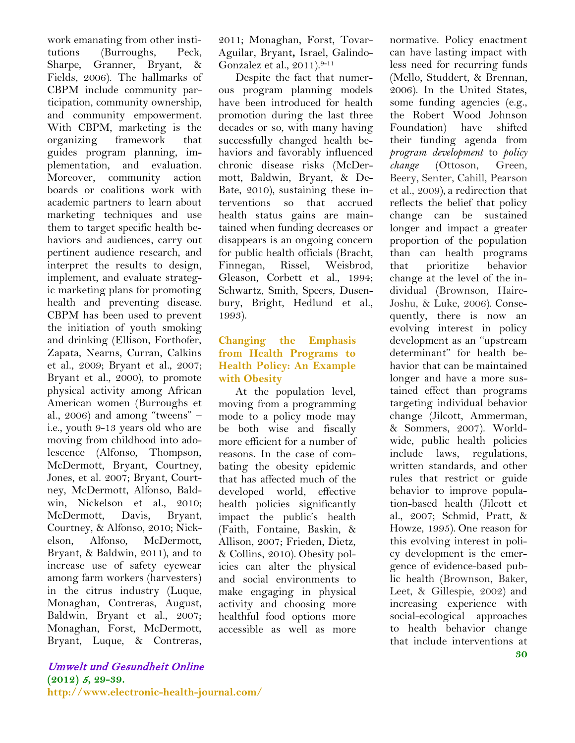work emanating from other institutions (Burroughs, Peck, Sharpe, Granner, Bryant, & Fields, 2006). The hallmarks of CBPM include community participation, community ownership, and community empowerment. With CBPM, marketing is the organizing framework that guides program planning, implementation, and evaluation. Moreover, community action boards or coalitions work with academic partners to learn about marketing techniques and use them to target specific health behaviors and audiences, carry out pertinent audience research, and interpret the results to design, implement, and evaluate strategic marketing plans for promoting health and preventing disease. CBPM has been used to prevent the initiation of youth smoking and drinking (Ellison, Forthofer, Zapata, Nearns, Curran, Calkins et al., 2009; Bryant et al., 2007; Bryant et al., 2000), to promote physical activity among African American women (Burroughs et al., 2006) and among "tweens" – i.e., youth 9-13 years old who are moving from childhood into adolescence (Alfonso, Thompson, McDermott, Bryant, Courtney, Jones, et al. 2007; Bryant, Courtney, McDermott, Alfonso, Baldwin, Nickelson et al., 2010; McDermott, Davis, Bryant, Courtney, & Alfonso, 2010; Nickelson, Alfonso, McDermott, Bryant, & Baldwin, 2011), and to increase use of safety eyewear among farm workers (harvesters) in the citrus industry (Luque, Monaghan, Contreras, August, Baldwin, Bryant et al., 2007; Monaghan, Forst, McDermott, Bryant, Luque, & Contreras,

2011; Monaghan, Forst, Tovar-Aguilar, Bryant**,** Israel, Galindo-Gonzalez et al., 2011).9-11

Despite the fact that numerous program planning models have been introduced for health promotion during the last three decades or so, with many having successfully changed health behaviors and favorably influenced chronic disease risks (McDermott, Baldwin, Bryant, & De-Bate, 2010), sustaining these interventions so that accrued health status gains are maintained when funding decreases or disappears is an ongoing concern for public health officials (Bracht, Finnegan, Rissel, Weisbrod, Gleason, Corbett et al., 1994; Schwartz, Smith, Speers, Dusenbury, Bright, Hedlund et al., 1993).

#### **Changing the Emphasis from Health Programs to Health Policy: An Example with Obesity**

At the population level, moving from a programming mode to a policy mode may be both wise and fiscally more efficient for a number of reasons. In the case of combating the obesity epidemic that has affected much of the developed world, effective health policies significantly impact the public's health (Faith, Fontaine, Baskin, & Allison, 2007; Frieden, Dietz, & Collins, 2010). Obesity policies can alter the physical and social environments to make engaging in physical activity and choosing more healthful food options more accessible as well as more

**30** normative. Policy enactment can have lasting impact with less need for recurring funds (Mello, Studdert, & Brennan, 2006). In the United States, some funding agencies (e.g., the Robert Wood Johnson Foundation) have shifted their funding agenda from *program development* to *policy change* (Ottoson, Green, Beery, Senter, Cahill, Pearson et al., 2009), a redirection that reflects the belief that policy change can be sustained longer and impact a greater proportion of the population than can health programs that prioritize behavior change at the level of the individual (Brownson, Haire-Joshu, & Luke, 2006). Consequently, there is now an evolving interest in policy development as an ''upstream determinant'' for health behavior that can be maintained longer and have a more sustained effect than programs targeting individual behavior change (Jilcott, Ammerman, & Sommers, 2007). Worldwide, public health policies include laws, regulations, written standards, and other rules that restrict or guide behavior to improve population-based health (Jilcott et al., 2007; Schmid, Pratt, & Howze, 1995). One reason for this evolving interest in policy development is the emergence of evidence-based public health (Brownson, Baker, Leet, & Gillespie, 2002) and increasing experience with social-ecological approaches to health behavior change that include interventions at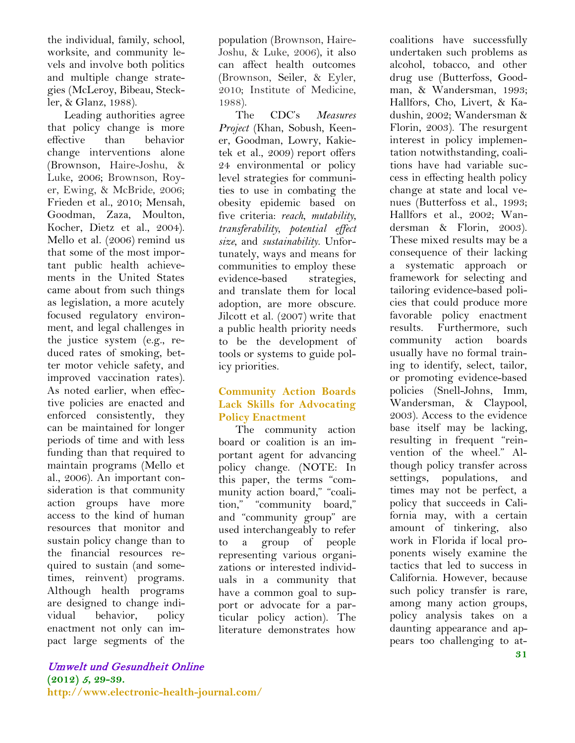the individual, family, school, worksite, and community levels and involve both politics and multiple change strategies (McLeroy, Bibeau, Steckler, & Glanz, 1988).

Leading authorities agree that policy change is more effective than behavior change interventions alone (Brownson, Haire-Joshu, & Luke, 2006; Brownson, Royer, Ewing, & McBride, 2006; Frieden et al., 2010; Mensah, Goodman, Zaza, Moulton, Kocher, Dietz et al., 2004). Mello et al. (2006) remind us that some of the most important public health achievements in the United States came about from such things as legislation, a more acutely focused regulatory environment, and legal challenges in the justice system (e.g., reduced rates of smoking, better motor vehicle safety, and improved vaccination rates). As noted earlier, when effective policies are enacted and enforced consistently, they can be maintained for longer periods of time and with less funding than that required to maintain programs (Mello et al., 2006). An important consideration is that community action groups have more access to the kind of human resources that monitor and sustain policy change than to the financial resources required to sustain (and sometimes, reinvent) programs. Although health programs are designed to change individual behavior, policy enactment not only can impact large segments of the

population (Brownson, Haire-Joshu, & Luke, 2006), it also can affect health outcomes (Brownson, Seiler, & Eyler, 2010; Institute of Medicine, 1988).

The CDC's *Measures Project* (Khan, Sobush, Keener, Goodman, Lowry, Kakietek et al., 2009) report offers 24 environmental or policy level strategies for communities to use in combating the obesity epidemic based on five criteria: *reach*, *mutability*, *transferability*, *potential effect size*, and *sustainability*. Unfortunately, ways and means for communities to employ these evidence-based strategies, and translate them for local adoption, are more obscure. Jilcott et al. (2007) write that a public health priority needs to be the development of tools or systems to guide policy priorities.

#### **Community Action Boards Lack Skills for Advocating Policy Enactment**

The community action board or coalition is an important agent for advancing policy change. (NOTE: In this paper, the terms "community action board," "coalition," "community board," and "community group" are used interchangeably to refer to a group of people representing various organizations or interested individuals in a community that have a common goal to support or advocate for a particular policy action). The literature demonstrates how

coalitions have successfully undertaken such problems as alcohol, tobacco, and other drug use (Butterfoss, Goodman, & Wandersman, 1993; Hallfors, Cho, Livert, & Kadushin, 2002; Wandersman & Florin, 2003). The resurgent interest in policy implementation notwithstanding, coalitions have had variable success in effecting health policy change at state and local venues (Butterfoss et al., 1993; Hallfors et al., 2002; Wandersman & Florin, 2003). These mixed results may be a consequence of their lacking a systematic approach or framework for selecting and tailoring evidence-based policies that could produce more favorable policy enactment results. Furthermore, such community action boards usually have no formal training to identify, select, tailor, or promoting evidence-based policies (Snell-Johns, Imm, Wandersman, & Claypool, 2003). Access to the evidence base itself may be lacking, resulting in frequent "reinvention of the wheel." Although policy transfer across settings, populations, and times may not be perfect, a policy that succeeds in California may, with a certain amount of tinkering, also work in Florida if local proponents wisely examine the tactics that led to success in California. However, because such policy transfer is rare, among many action groups, policy analysis takes on a daunting appearance and appears too challenging to at-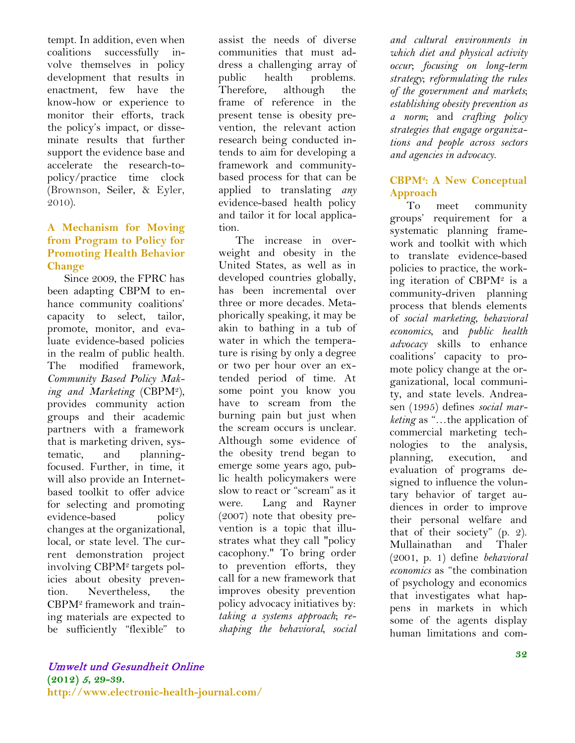tempt. In addition, even when coalitions successfully involve themselves in policy development that results in enactment, few have the know-how or experience to monitor their efforts, track the policy's impact, or disseminate results that further support the evidence base and accelerate the research-topolicy/practice time clock (Brownson, Seiler, & Eyler, 2010).

#### **A Mechanism for Moving from Program to Policy for Promoting Health Behavior Change**

Since 2009, the FPRC has been adapting CBPM to enhance community coalitions' capacity to select, tailor, promote, monitor, and evaluate evidence-based policies in the realm of public health. The modified framework, *Community Based Policy Making and Marketing* (CBPM2), provides community action groups and their academic partners with a framework that is marketing driven, systematic, and planningfocused. Further, in time, it will also provide an Internetbased toolkit to offer advice for selecting and promoting evidence-based policy changes at the organizational, local, or state level. The current demonstration project involving CBPM2 targets policies about obesity prevention. Nevertheless, the CBPM2 framework and training materials are expected to be sufficiently "flexible" to assist the needs of diverse communities that must address a challenging array of public health problems. Therefore, although the frame of reference in the present tense is obesity prevention, the relevant action research being conducted intends to aim for developing a framework and communitybased process for that can be applied to translating *any* evidence-based health policy and tailor it for local application.

The increase in overweight and obesity in the United States, as well as in developed countries globally, has been incremental over three or more decades. Metaphorically speaking, it may be akin to bathing in a tub of water in which the temperature is rising by only a degree or two per hour over an extended period of time. At some point you know you have to scream from the burning pain but just when the scream occurs is unclear. Although some evidence of the obesity trend began to emerge some years ago, public health policymakers were slow to react or "scream" as it were. Lang and Rayner (2007) note that obesity prevention is a topic that illustrates what they call "policy cacophony." To bring order to prevention efforts, they call for a new framework that improves obesity prevention policy advocacy initiatives by: *taking a systems approach*; *reshaping the behavioral, social* 

*and cultural environments in which diet and physical activity occur*; *focusing on long-term strategy*; *reformulating the rules of the government and markets*; *establishing obesity prevention as a norm*; and *crafting policy strategies that engage organizations and people across sectors and agencies in advocacy*.

### **CBPM2 : A New Conceptual Approach**

To meet community groups' requirement for a systematic planning framework and toolkit with which to translate evidence-based policies to practice, the working iteration of CBPM2 is a community-driven planning process that blends elements of *social marketing*, *behavioral economics*, and *public health advocacy* skills to enhance coalitions' capacity to promote policy change at the organizational, local community, and state levels. Andreasen (1995) defines *social marketing* as "…the application of commercial marketing technologies to the analysis, planning, execution, and evaluation of programs designed to influence the voluntary behavior of target audiences in order to improve their personal welfare and that of their society" (p. 2). Mullainathan and Thaler (2001, p. 1) define *behavioral economics* as "the combination of psychology and economics that investigates what happens in markets in which some of the agents display human limitations and com-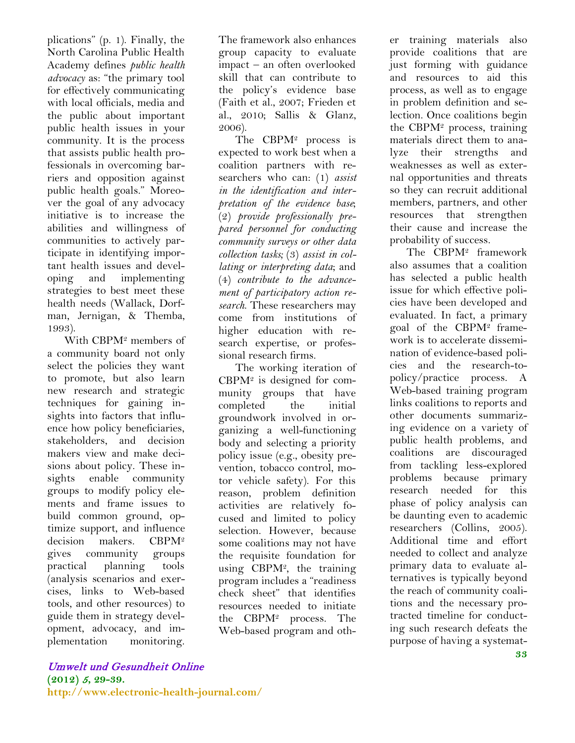plications" (p. 1). Finally, the North Carolina Public Health Academy defines *public health advocacy* as: "the primary tool for effectively communicating with local officials, media and the public about important public health issues in your community. It is the process that assists public health professionals in overcoming barriers and opposition against public health goals." Moreover the goal of any advocacy initiative is to increase the abilities and willingness of communities to actively participate in identifying important health issues and developing and implementing strategies to best meet these health needs (Wallack, Dorfman, Jernigan, & Themba, 1993).

With CBPM2 members of a community board not only select the policies they want to promote, but also learn new research and strategic techniques for gaining insights into factors that influence how policy beneficiaries, stakeholders, and decision makers view and make decisions about policy. These insights enable community groups to modify policy elements and frame issues to build common ground, optimize support, and influence decision makers. CBPM2 gives community groups practical planning tools (analysis scenarios and exercises, links to Web-based tools, and other resources) to guide them in strategy development, advocacy, and implementation monitoring.

 The CBPM2 process is expected to work best when a coalition partners with researchers who can: (1) *assist in the identification and interpretation of the evidence base*; (2) *provide professionally prepared personnel for conducting community surveys or other data collection tasks;* (3) *assist in collating or interpreting data*; and (4) *contribute to the advancement of participatory action research*. These researchers may come from institutions of higher education with research expertise, or professional research firms.

 The working iteration of  $CBPM<sup>2</sup>$  is designed for community groups that have completed the initial groundwork involved in organizing a well-functioning body and selecting a priority policy issue (e.g., obesity prevention, tobacco control, motor vehicle safety). For this reason, problem definition activities are relatively focused and limited to policy selection. However, because some coalitions may not have the requisite foundation for using CBPM2, the training program includes a "readiness check sheet" that identifies resources needed to initiate the CBPM2 process. The Web-based program and other training materials also provide coalitions that are just forming with guidance and resources to aid this process, as well as to engage in problem definition and selection. Once coalitions begin the CBPM2 process, training materials direct them to analyze their strengths and weaknesses as well as external opportunities and threats so they can recruit additional members, partners, and other resources that strengthen their cause and increase the probability of success.

 The CBPM2 framework also assumes that a coalition has selected a public health issue for which effective policies have been developed and evaluated. In fact, a primary goal of the CBPM2 framework is to accelerate dissemination of evidence-based policies and the research-topolicy/practice process. A Web-based training program links coalitions to reports and other documents summarizing evidence on a variety of public health problems, and coalitions are discouraged from tackling less-explored problems because primary research needed for this phase of policy analysis can be daunting even to academic researchers (Collins, 2005). Additional time and effort needed to collect and analyze primary data to evaluate alternatives is typically beyond the reach of community coalitions and the necessary protracted timeline for conducting such research defeats the purpose of having a systemat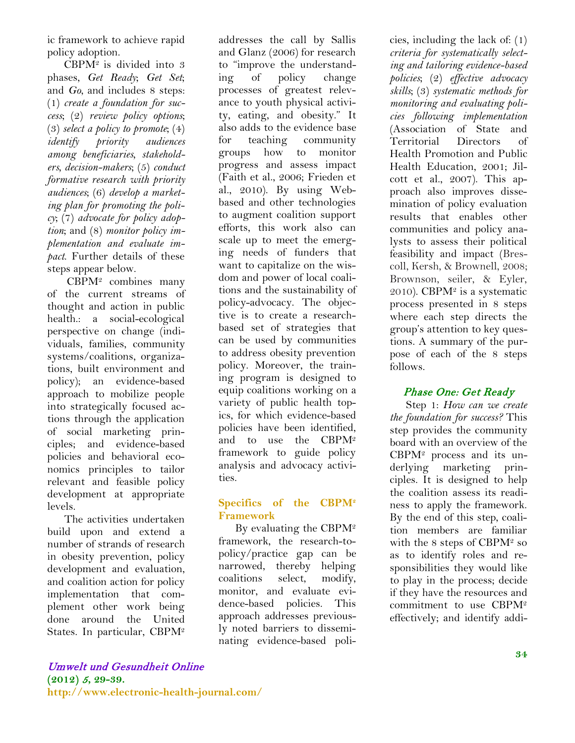ic framework to achieve rapid policy adoption.

 CBPM2 is divided into 3 phases, *Get Ready*; *Get Set*; and *Go*, and includes 8 steps: (1) *create a foundation for success*; (2) *review policy options*; (3) *select a policy to promote*; (4) *identify priority audiences among beneficiaries, stakeholders, decision-makers*; (5) *conduct formative research with priority audiences*; (6) *develop a marketing plan for promoting the policy*; (7) *advocate for policy adoption*; and (8) *monitor policy implementation and evaluate impact*. Further details of these steps appear below.

 CBPM2 combines many of the current streams of thought and action in public health.: a social-ecological perspective on change (individuals, families, community systems/coalitions, organizations, built environment and policy); an evidence-based approach to mobilize people into strategically focused actions through the application of social marketing principles; and evidence-based policies and behavioral economics principles to tailor relevant and feasible policy development at appropriate levels.

The activities undertaken build upon and extend a number of strands of research in obesity prevention, policy development and evaluation, and coalition action for policy implementation that complement other work being done around the United States. In particular, CBPM2

addresses the call by Sallis and Glanz (2006) for research to "improve the understanding of policy change processes of greatest relevance to youth physical activity, eating, and obesity." It also adds to the evidence base for teaching community groups how to monitor progress and assess impact (Faith et al., 2006; Frieden et al., 2010). By using Webbased and other technologies to augment coalition support efforts, this work also can scale up to meet the emerging needs of funders that want to capitalize on the wisdom and power of local coalitions and the sustainability of policy-advocacy. The objective is to create a researchbased set of strategies that can be used by communities to address obesity prevention policy. Moreover, the training program is designed to equip coalitions working on a variety of public health topics, for which evidence-based policies have been identified, and to use the CBPM2 framework to guide policy analysis and advocacy activities.

#### **Specifics of the CBPM2 Framework**

 By evaluating the CBPM2 framework, the research-topolicy/practice gap can be narrowed, thereby helping coalitions select, modify, monitor, and evaluate evidence-based policies. This approach addresses previously noted barriers to disseminating evidence-based policies, including the lack of: (1) *criteria for systematically selecting and tailoring evidence-based policies*; (2) *effective advocacy skills*; (3) *systematic methods for monitoring and evaluating policies following implementation* (Association of State and Territorial Directors of Health Promotion and Public Health Education, 2001; Jilcott et al., 2007). This approach also improves dissemination of policy evaluation results that enables other communities and policy analysts to assess their political feasibility and impact (Brescoll, Kersh, & Brownell, 2008; Brownson, seiler, & Eyler, 2010). CBP $M^2$  is a systematic process presented in 8 steps where each step directs the group's attention to key questions. A summary of the purpose of each of the 8 steps follows.

## Phase One: Get Ready

Step 1: *How can we create the foundation for success?* This step provides the community board with an overview of the CBPM2 process and its underlying marketing principles. It is designed to help the coalition assess its readiness to apply the framework. By the end of this step, coalition members are familiar with the 8 steps of CBPM2 so as to identify roles and responsibilities they would like to play in the process; decide if they have the resources and commitment to use CBPM2 effectively; and identify addi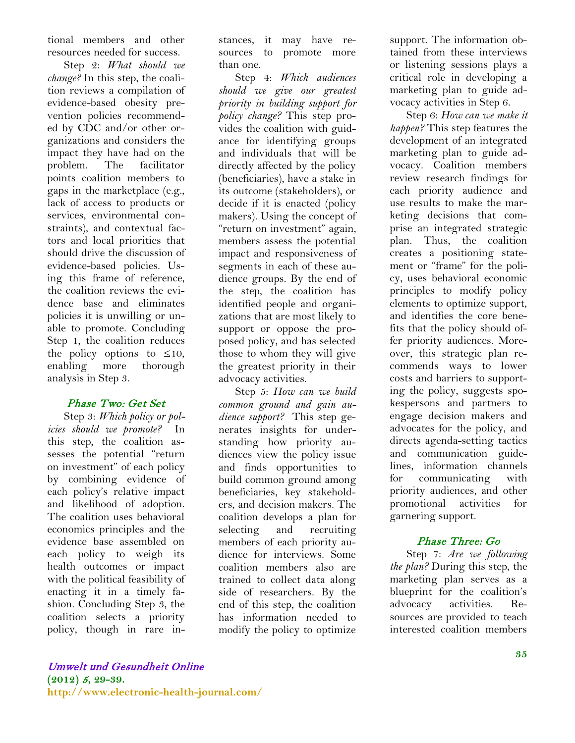tional members and other resources needed for success.

 Step 2: *What should we change?* In this step, the coalition reviews a compilation of evidence-based obesity prevention policies recommended by CDC and/or other organizations and considers the impact they have had on the problem. The facilitator points coalition members to gaps in the marketplace (e.g., lack of access to products or services, environmental constraints), and contextual factors and local priorities that should drive the discussion of evidence-based policies. Using this frame of reference, the coalition reviews the evidence base and eliminates policies it is unwilling or unable to promote. Concluding Step 1, the coalition reduces the policy options to  $\leq 10$ , enabling more thorough analysis in Step 3.

#### Phase Two: Get Set

 Step 3: *Which policy or policies should we promote?* In this step, the coalition assesses the potential "return on investment" of each policy by combining evidence of each policy's relative impact and likelihood of adoption. The coalition uses behavioral economics principles and the evidence base assembled on each policy to weigh its health outcomes or impact with the political feasibility of enacting it in a timely fashion. Concluding Step 3, the coalition selects a priority policy, though in rare instances, it may have resources to promote more than one.

 Step 4: *Which audiences should we give our greatest priority in building support for policy change?* This step provides the coalition with guidance for identifying groups and individuals that will be directly affected by the policy (beneficiaries), have a stake in its outcome (stakeholders), or decide if it is enacted (policy makers). Using the concept of "return on investment" again, members assess the potential impact and responsiveness of segments in each of these audience groups. By the end of the step, the coalition has identified people and organizations that are most likely to support or oppose the proposed policy, and has selected those to whom they will give the greatest priority in their advocacy activities.

 Step 5: *How can we build common ground and gain audience support?* This step generates insights for understanding how priority audiences view the policy issue and finds opportunities to build common ground among beneficiaries, key stakeholders, and decision makers. The coalition develops a plan for selecting and recruiting members of each priority audience for interviews. Some coalition members also are trained to collect data along side of researchers. By the end of this step, the coalition has information needed to modify the policy to optimize

support. The information obtained from these interviews or listening sessions plays a critical role in developing a marketing plan to guide advocacy activities in Step 6.

 Step 6: *How can we make it happen?* This step features the development of an integrated marketing plan to guide advocacy. Coalition members review research findings for each priority audience and use results to make the marketing decisions that comprise an integrated strategic plan. Thus, the coalition creates a positioning statement or "frame" for the policy, uses behavioral economic principles to modify policy elements to optimize support, and identifies the core benefits that the policy should offer priority audiences. Moreover, this strategic plan recommends ways to lower costs and barriers to supporting the policy, suggests spokespersons and partners to engage decision makers and advocates for the policy, and directs agenda-setting tactics and communication guidelines, information channels for communicating with priority audiences, and other promotional activities for garnering support.

#### Phase Three: Go

 Step 7: *Are we following the plan?* During this step, the marketing plan serves as a blueprint for the coalition's advocacy activities. Resources are provided to teach interested coalition members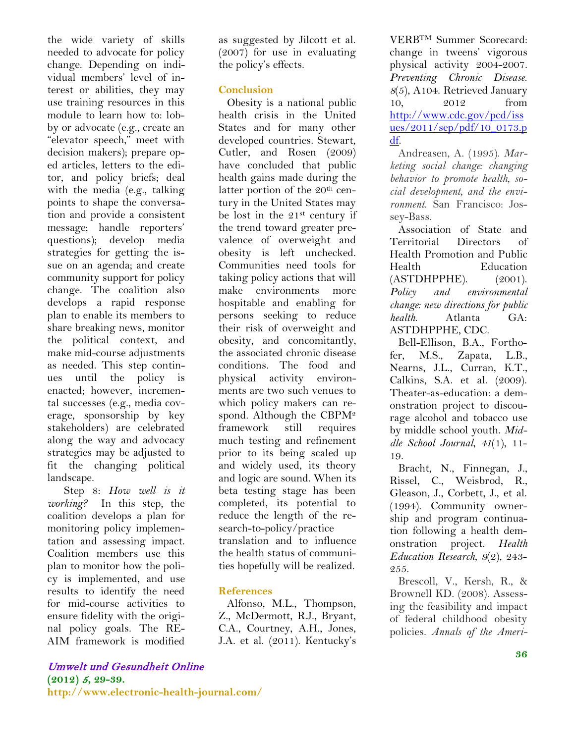the wide variety of skills needed to advocate for policy change. Depending on individual members' level of interest or abilities, they may use training resources in this module to learn how to: lobby or advocate (e.g., create an "elevator speech," meet with decision makers); prepare oped articles, letters to the editor, and policy briefs; deal with the media (e.g., talking points to shape the conversation and provide a consistent message; handle reporters' questions); develop media strategies for getting the issue on an agenda; and create community support for policy change. The coalition also develops a rapid response plan to enable its members to share breaking news, monitor the political context, and make mid-course adjustments as needed. This step continues until the policy is enacted; however, incremental successes (e.g., media coverage, sponsorship by key stakeholders) are celebrated along the way and advocacy strategies may be adjusted to fit the changing political landscape.

 Step 8: *How well is it working?* In this step, the coalition develops a plan for monitoring policy implementation and assessing impact. Coalition members use this plan to monitor how the policy is implemented, and use results to identify the need for mid-course activities to ensure fidelity with the original policy goals. The RE-AIM framework is modified

as suggested by Jilcott et al. (2007) for use in evaluating the policy's effects.

#### **Conclusion**

Obesity is a national public health crisis in the United States and for many other developed countries. Stewart, Cutler, and Rosen (2009) have concluded that public health gains made during the latter portion of the 20<sup>th</sup> century in the United States may be lost in the 21st century if the trend toward greater prevalence of overweight and obesity is left unchecked. Communities need tools for taking policy actions that will make environments more hospitable and enabling for persons seeking to reduce their risk of overweight and obesity, and concomitantly, the associated chronic disease conditions. The food and physical activity environments are two such venues to which policy makers can respond. Although the CBPM2 framework still requires much testing and refinement prior to its being scaled up and widely used, its theory and logic are sound. When its beta testing stage has been completed, its potential to reduce the length of the research-to-policy/practice translation and to influence the health status of communities hopefully will be realized.

#### **References**

Alfonso, M.L., Thompson, Z., McDermott, R.J., Bryant, C.A., Courtney, A.H., Jones, J.A. et al. (2011). Kentucky's

VERBTM Summer Scorecard: change in tweens' vigorous physical activity 2004-2007. *Preventing Chronic Disease*. *8*(5), A104. Retrieved January 10, 2012 from [http://www.cdc.gov/pcd/iss](http://www.cdc.gov/pcd/issues/2011/sep/pdf/10_0173.pdf) [ues/2011/sep/pdf/10\\_0173.p](http://www.cdc.gov/pcd/issues/2011/sep/pdf/10_0173.pdf) [df.](http://www.cdc.gov/pcd/issues/2011/sep/pdf/10_0173.pdf)

Andreasen, A. (1995). *Marketing social change: changing behavior to promote health, social development, and the environment*. San Francisco: Jossey-Bass.

Association of State and Territorial Directors of Health Promotion and Public Health Education (ASTDHPPHE). (2001). *Policy and environmental change: new directions for public health*. Atlanta GA: ASTDHPPHE, CDC.

Bell-Ellison, B.A., Forthofer, M.S., Zapata, L.B., Nearns, J.L., Curran, K.T., Calkins, S.A. et al. (2009). Theater-as-education: a demonstration project to discourage alcohol and tobacco use by middle school youth. *Middle School Journal*, *41*(1), 11- 19.

Bracht, N., Finnegan, J., Rissel, C., Weisbrod, R., Gleason, J., Corbett, J., et al. (1994). Community ownership and program continuation following a health demonstration project. *Health Education Research*, *9*(2), 243- 255.

Brescoll, V., Kersh, R., & Brownell KD. (2008). Assessing the feasibility and impact of federal childhood obesity policies. *Annals of the Ameri-*

# Umwelt und Gesundheit Online

**(2012)** <sup>5</sup>**, 29-39. http://www.electronic-health-journal.com/**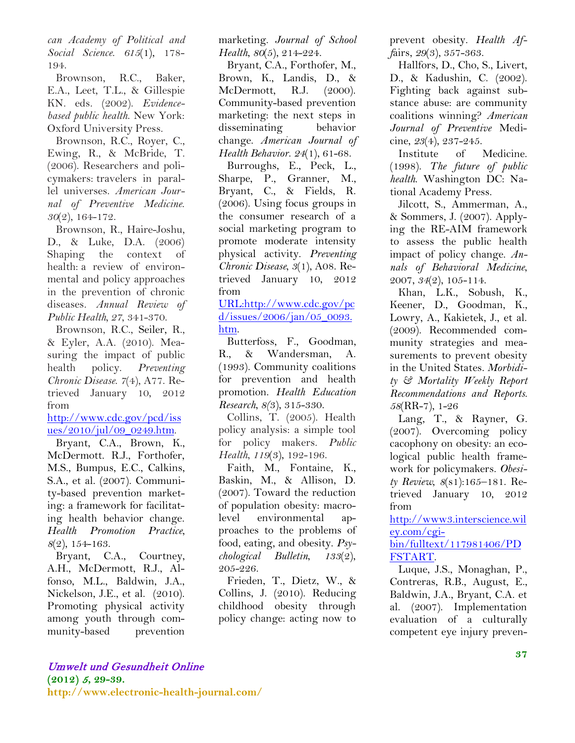*can Academy of Political and Social Science*. *615*(1), 178- 194.

Brownson, R.C., Baker, E.A., Leet, T.L., & Gillespie KN. eds. (2002). *Evidencebased public health*. New York: Oxford University Press.

Brownson, R.C., Royer, C., Ewing, R., & McBride, T. (2006). Researchers and policymakers: travelers in parallel universes. *American Journal of Preventive Medicine*. *30*(2), 164-172.

Brownson, R., Haire-Joshu, D., & Luke, D.A. (2006) Shaping the context of health: a review of environmental and policy approaches in the prevention of chronic diseases. *Annual Review of Public Health, 27*, 341-370.

Brownson, R.C., Seiler, R., & Eyler, A.A. (2010). Measuring the impact of public health policy. *Preventing Chronic Disease*. *7*(4), A77. Retrieved January 10, 2012 from

[http://www.cdc.gov/pcd/iss](http://www.cdc.gov/pcd/issues/2010/jul/09_0249.htm) [ues/2010/jul/09\\_0249.htm.](http://www.cdc.gov/pcd/issues/2010/jul/09_0249.htm)

Bryant, C.A., Brown, K., McDermott. R.J., Forthofer, M.S., Bumpus, E.C., Calkins, S.A., et al. (2007). Community-based prevention marketing: a framework for facilitating health behavior change. *Health Promotion Practice*, *8*(2), 154-163.

Bryant, C.A., Courtney, A.H., McDermott, R.J., Alfonso, M.L., Baldwin, J.A., Nickelson, J.E., et al. (2010). Promoting physical activity among youth through community-based prevention

marketing. *Journal of School Health*, *80*(5), 214-224.

Bryant, C.A., Forthofer, M., Brown, K., Landis, D., & McDermott, R.J. (2000). Community-based prevention marketing: the next steps in disseminating behavior change. *American Journal of Health Behavior*. *24*(1), 61-68.

Burroughs, E., Peck, L., Sharpe, P., Granner, M., Bryant, C., & Fields, R. (2006). Using focus groups in the consumer research of a social marketing program to promote moderate intensity physical activity. *Preventing Chronic Disease*, *3*(1), A08. Retrieved January 10, 2012 from

[URL:http://www.cdc.gov/pc](http://www.cdc.gov/pcd/issues/2006/jan/05_0093.htm) [d/issues/2006/jan/05\\_0093.](http://www.cdc.gov/pcd/issues/2006/jan/05_0093.htm) [htm.](http://www.cdc.gov/pcd/issues/2006/jan/05_0093.htm)

Butterfoss, F., Goodman, R., & Wandersman, A. (1993). Community coalitions for prevention and health promotion. *Health Education Research*, *8(*3), 315-330.

Collins, T. (2005). Health policy analysis: a simple tool for policy makers. *Public Health*, *119*(3), 192-196.

Faith, M., Fontaine, K., Baskin, M., & Allison, D. (2007). Toward the reduction of population obesity: macrolevel environmental approaches to the problems of food, eating, and obesity. *Psychological Bulletin*, *133*(2), 205-226.

Frieden, T., Dietz, W., & Collins, J. (2010). Reducing childhood obesity through policy change: acting now to

prevent obesity. *Health Aff*airs, *29*(3), 357-363.

Hallfors, D., Cho, S., Livert, D., & Kadushin, C. (2002). Fighting back against substance abuse: are community coalitions winning? *American Journal of Preventive* Medicine, *23*(4), 237-245.

Institute of Medicine. (1998). *The future of public health*. Washington DC: National Academy Press.

Jilcott, S., Ammerman, A., & Sommers, J. (2007). Applying the RE-AIM framework to assess the public health impact of policy change. *Annals of Behavioral Medicine*, 2007, *34*(2), 105-114.

Khan, L.K., Sobush, K., Keener, D., Goodman, K., Lowry, A., Kakietek, J., et al. (2009). Recommended community strategies and measurements to prevent obesity in the United States. *Morbidity & Mortality Weekly Report Recommendations and Reports*. *58*(RR-7), 1-26

Lang, T., & Rayner, G. (2007). Overcoming policy cacophony on obesity: an ecological public health framework for policymakers. *Obesity Review*, *8*(s1):165–181. Retrieved January 10, 2012 from

[http://www3.interscience.wil](http://www3.interscience.wiley.com/cgi-bin/fulltext/117981406/PDFSTART) [ey.com/cgi-](http://www3.interscience.wiley.com/cgi-bin/fulltext/117981406/PDFSTART)

[bin/fulltext/117981406/PD](http://www3.interscience.wiley.com/cgi-bin/fulltext/117981406/PDFSTART) [FSTART.](http://www3.interscience.wiley.com/cgi-bin/fulltext/117981406/PDFSTART)

Luque, J.S., Monaghan, P., Contreras, R.B., August, E., Baldwin, J.A., Bryant, C.A. et al. (2007). Implementation evaluation of a culturally competent eye injury preven-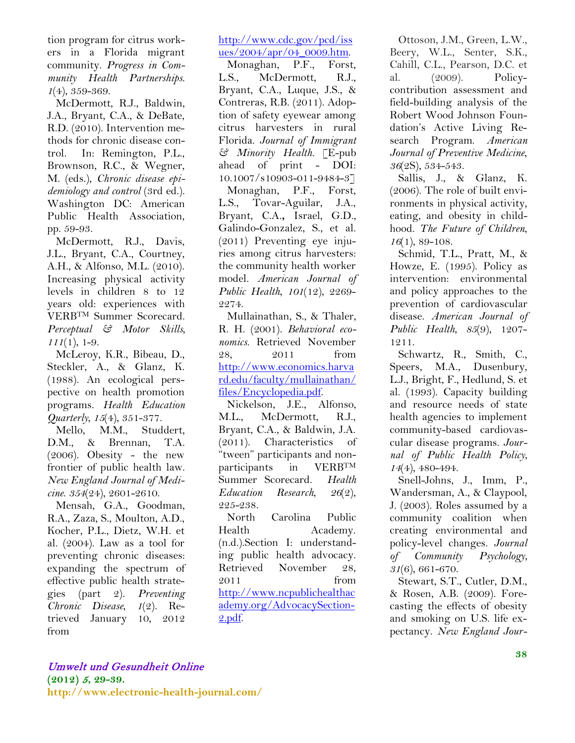tion program for citrus workers in a Florida migrant community. *Progress in Community Health Partnerships*. *1*(4), 359-369.

McDermott, R.J., Baldwin, J.A., Bryant, C.A., & DeBate, R.D. (2010). Intervention methods for chronic disease control. In: Remington, P.L., Brownson, R.C., & Wegner, M. (eds.), *Chronic disease epidemiology and control* (3rd ed.). Washington DC: American Public Health Association, pp. 59-93.

McDermott, R.J., Davis, J.L., Bryant, C.A., Courtney, A.H., & Alfonso, M.L. (2010). Increasing physical activity levels in children 8 to 12 years old: experiences with VERBTM Summer Scorecard. *Perceptual & Motor Skills, 111*(1), 1-9.

McLeroy, K.R., Bibeau, D., Steckler, A., & Glanz, K. (1988). An ecological perspective on health promotion programs. *Health Education Quarterly*, *15*(4), 351-377.

Mello, M.M., Studdert, D.M., & Brennan, T.A. (2006). Obesity - the new frontier of public health law. *New England Journal of Medicine*. *354*(24), 2601-2610.

Mensah, G.A., Goodman, R.A., Zaza, S., Moulton, A.D., Kocher, P.L., Dietz, W.H. et al. (2004). Law as a tool for preventing chronic diseases: expanding the spectrum of effective public health strategies (part 2). *Preventing Chronic Disease*, *1*(2). Retrieved January 10, 2012 from

[http://www.cdc.gov/pcd/iss](http://www.cdc.gov/pcd/issues/2004/apr/04_0009.htm) [ues/2004/apr/04\\_0009.htm.](http://www.cdc.gov/pcd/issues/2004/apr/04_0009.htm)

Monaghan, P.F., Forst, L.S., McDermott, R.J., Bryant, C.A., Luque, J.S., & Contreras, R.B. (2011). Adoption of safety eyewear among citrus harvesters in rural Florida. *Journal of Immigrant & Minority Health.* [E-pub ahead of print - DOI: 10.1007/s10903-011-9484-3] Monaghan, P.F., Forst, L.S., Tovar-Aguilar, J.A., Bryant, C.A.**,** Israel, G.D., Galindo-Gonzalez, S., et al. (2011) Preventing eye injuries among citrus harvesters: the community health worker model. *American Journal of Public Health*, *101*(12), 2269- 2274.

Mullainathan, S., & Thaler, R. H. (2001). *Behavioral economics*. Retrieved November 28, 2011 from [http://www.economics.harva](http://www.economics.harvard.edu/faculty/mullainathan/files/Encyclopedia.pdf) [rd.edu/faculty/mullainathan/](http://www.economics.harvard.edu/faculty/mullainathan/files/Encyclopedia.pdf) [files/Encyclopedia.pdf.](http://www.economics.harvard.edu/faculty/mullainathan/files/Encyclopedia.pdf)

Nickelson, J.E., Alfonso, M.L., McDermott, R.J., Bryant, C.A., & Baldwin, J.A. (2011). Characteristics of "tween" participants and nonparticipants in VERBTM Summer Scorecard. *Health Education Research*, *26*(2), 225-238.

North Carolina Public Health Academy. (n.d.).Section I: understanding public health advocacy. Retrieved November 28, 2011 from [http://www.ncpublichealthac](http://www.ncpublichealthacademy.org/AdvocacySection-2.pdf) [ademy.org/AdvocacySection-](http://www.ncpublichealthacademy.org/AdvocacySection-2.pdf)[2.pdf.](http://www.ncpublichealthacademy.org/AdvocacySection-2.pdf)

Ottoson, J.M., Green, L.W., Beery, W.L., Senter, S.K., Cahill, C.L., Pearson, D.C. et al. (2009). Policycontribution assessment and field-building analysis of the Robert Wood Johnson Foundation's Active Living Research Program. *American Journal of Preventive Medicine*, *36*(2S), 534-543.

Sallis, J., & Glanz, K. (2006). The role of built environments in physical activity, eating, and obesity in childhood. *The Future of Children*, *16*(1), 89-108.

Schmid, T.L., Pratt, M., & Howze, E. (1995). Policy as intervention: environmental and policy approaches to the prevention of cardiovascular disease. *American Journal of Public Health*, *85*(9), 1207- 1211.

Schwartz, R., Smith, C., Speers, M.A., Dusenbury, L.J., Bright, F., Hedlund, S. et al. (1993). Capacity building and resource needs of state health agencies to implement community-based cardiovascular disease programs. *Journal of Public Health Policy*, *14*(4), 480-494.

Snell-Johns, J., Imm, P., Wandersman, A., & Claypool, J. (2003). Roles assumed by a community coalition when creating environmental and policy-level changes. *Journal of Community Psychology*, *31*(6), 661-670.

Stewart, S.T., Cutler, D.M., & Rosen, A.B. (2009). Forecasting the effects of obesity and smoking on U.S. life expectancy. *New England Jour-*